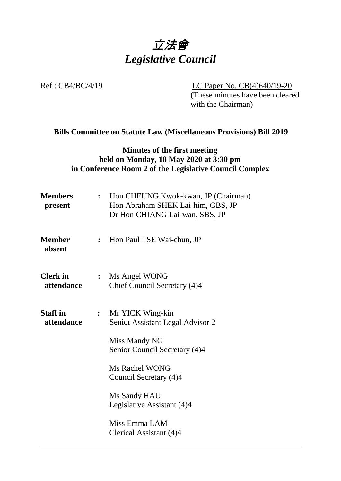

Ref : CB4/BC/4/19 LC Paper No. CB(4)640/19-20 (These minutes have been cleared with the Chairman)

# **Bills Committee on Statute Law (Miscellaneous Provisions) Bill 2019**

### **Minutes of the first meeting held on Monday, 18 May 2020 at 3:30 pm in Conference Room 2 of the Legislative Council Complex**

| <b>Members</b><br>present     | $\ddot{\cdot}$ | Hon CHEUNG Kwok-kwan, JP (Chairman)<br>Hon Abraham SHEK Lai-him, GBS, JP<br>Dr Hon CHIANG Lai-wan, SBS, JP |
|-------------------------------|----------------|------------------------------------------------------------------------------------------------------------|
| <b>Member</b><br>absent       | $\ddot{\cdot}$ | Hon Paul TSE Wai-chun, JP                                                                                  |
| <b>Clerk</b> in<br>attendance | $\ddot{\cdot}$ | Ms Angel WONG<br>Chief Council Secretary (4)4                                                              |
| <b>Staff in</b><br>attendance | $\ddot{\cdot}$ | Mr YICK Wing-kin<br>Senior Assistant Legal Advisor 2                                                       |
|                               |                | Miss Mandy NG<br>Senior Council Secretary (4)4                                                             |
|                               |                | Ms Rachel WONG<br>Council Secretary (4)4                                                                   |
|                               |                | Ms Sandy HAU<br>Legislative Assistant (4)4                                                                 |
|                               |                | Miss Emma LAM<br>Clerical Assistant (4)4                                                                   |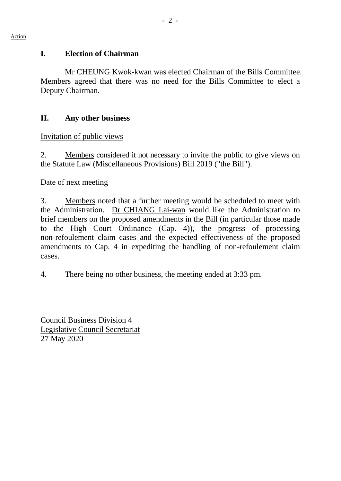#### **I. Election of Chairman**

Mr CHEUNG Kwok-kwan was elected Chairman of the Bills Committee. Members agreed that there was no need for the Bills Committee to elect a Deputy Chairman.

#### **II. Any other business**

#### Invitation of public views

2. Members considered it not necessary to invite the public to give views on the Statute Law (Miscellaneous Provisions) Bill 2019 ("the Bill").

#### Date of next meeting

3. Members noted that a further meeting would be scheduled to meet with the Administration. Dr CHIANG Lai-wan would like the Administration to brief members on the proposed amendments in the Bill (in particular those made to the High Court Ordinance (Cap. 4)), the progress of processing non-refoulement claim cases and the expected effectiveness of the proposed amendments to Cap. 4 in expediting the handling of non-refoulement claim cases.

4. There being no other business, the meeting ended at 3:33 pm.

Council Business Division 4 Legislative Council Secretariat 27 May 2020